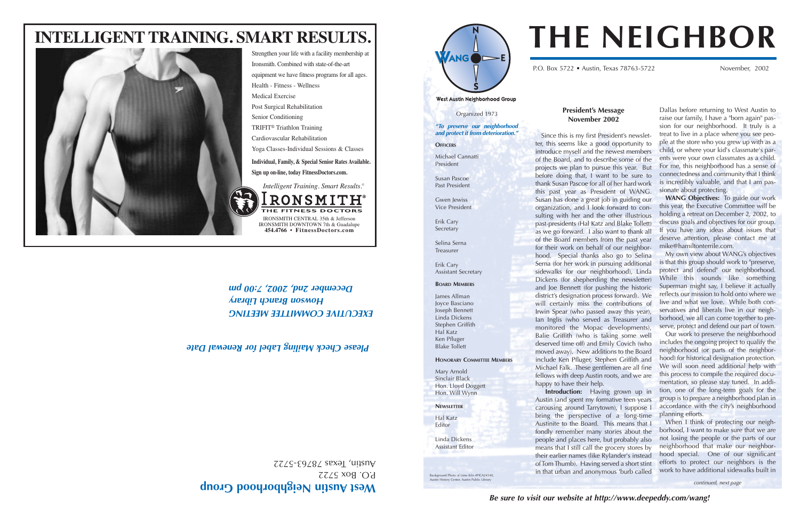#### **President's Message November 2002**

Austinite to the Board. This means that I fondly remember many stories about the people and places here, but probably also means that I still call the grocery stores by their earlier names (like Rylander's instead of Tom Thumb). Having served a short stint in that urban and anonymous 'burb called

Since this is my first President's newsletter, this seems like a good opportunity to introduce myself and the newest members of the Board, and to describe some of the projects we plan to pursue this year. But before doing that, I want to be sure to thank Susan Pascoe for all of her hard work this past year as President of WANG. Susan has done a great job in guiding our organization, and I look forward to consulting with her and the other illustrious past-presidents (Hal Katz and Blake Tollett) as we go forward. I also want to thank all of the Board members from the past year for their work on behalf of our neighborhood. Special thanks also go to Selina Serna (for her work in pursuing additional sidewalks for our neighborhood), Linda Dickens (for shepherding the newsletter) and Joe Bennett (for pushing the historic district's designation process forward). We will certainly miss the contributions of Irwin Spear (who passed away this year), Ian Inglis (who served as Treasurer and monitored the Mopac developments), Balie Griffith (who is taking some well deserved time off) and Emily Covich (who moved away). New additions to the Board include Ken Pfluger, Stephen Griffith and Michael Falk. These gentlemen are all fine fellows with deep Austin roots, and we are happy to have their help. **Introduction:** Having grown up in Austin (and spent my formative teen years carousing around Tarrytown), I suppose I bring the perspective of a long-time ple at the store who you grew up with as a child, or where your kid's classmate's parents were your own classmates as a child. For me, this neighborhood has a sense of connectedness and community that I think is incredibly valuable, and that I am passionate about protecting. **WANG Objectives:** To guide our work this year, the Executive Committee will be holding a retreat on December 2, 2002, to discuss goals and objectives for our group. If you have any ideas about issues that deserve attention, please contact me at mike@hamiltonterrile.com. My own view about WANG's objectives is that this group should work to "preserve, protect and defend" our neighborhood. While this sounds like something Superman might say, I believe it actually reflects our mission to hold onto where we live and what we love. While both conservatives and liberals live in our neighborhood, we all can come together to preserve, protect and defend our part of town. Our work to preserve the neighborhood includes the ongoing project to qualify the neighborhood (or parts of the neighborhood) for historical designation protection. We will soon need additional help with this process to compile the required documentation, so please stay tuned. In addition, one of the long-term goals for the group is to prepare a neighborhood plan in accordance with the city's neighborhood planning efforts.

When I think of protecting our neighborhood, I want to make sure that we are not losing the people or the parts of our neighborhood that make our neighborhood special. One of our significant efforts to protect our neighbors is the work to have additional sidewalks built in

continued, next page

 $BOSZZZ$ ustin, Texas 78763-5722 A Dallas before returning to West Austin to raise our family, I have a "born again" passion for our neighborhood. It truly is a treat to live in a place where you see peo-

# **THE NEIGHBOR**

P.O. Box 5722 • Austin, Texas 78763-5722 November, 2002

West Austin Neighborhood Group

## **est Austin Neighborhood Group <sup>W</sup>**

*EXECUTIVE COMMITTEE MEETING Howson Branch Library*



IRONSMITH CENTRAL 35th & Jefferson IRONSMITH DOWNTOWN 7th & Guadalupe **454.4766** • **FitnessDoctors.com**

ONSMI THE FITNESS DOCTORS

*Intelligent Training. Smart Results.©*







Organized 1973 *"To preserve our neighborhood and protect it from deterioration."*

**OFFICERS** 

Michael Cannatti President

Susan Pascoe Past President

Gwen Jewiss Vice President

Erik Cary Secretary

Selina Serna Treasurer

Erik Cary

Assistant Secretary

**BOARD MEMBERS**

James Allman Joyce Basciano

Joseph Bennett Linda Dickens Stephen Griffith Hal Katz Ken Pfluger Blake Tollett

**HONORARY COMMITTEE MEMBERS**

Mary Arnold Sinclair Black Hon. Lloyd Doggett Hon. Will Wynn

**NEWSLETTER** Hal Katz Editor

Linda Dickens Assistant Editor

### *Please Check Mailing Label for Renewal Date*

Background Photo of Lime Kiln #PICA24140,